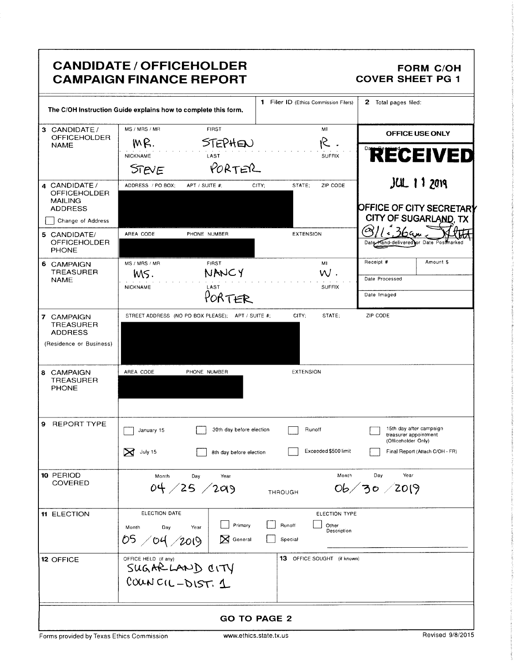|                                                                                               | <b>CANDIDATE / OFFICEHOLDER</b><br><b>CAMPAIGN FINANCE REPORT</b>              |                                                            | <b>FORM C/OH</b><br><b>COVER SHEET PG 1</b>                                                                |
|-----------------------------------------------------------------------------------------------|--------------------------------------------------------------------------------|------------------------------------------------------------|------------------------------------------------------------------------------------------------------------|
|                                                                                               | The C/OH Instruction Guide explains how to complete this form.                 | 1 Filer ID (Ethics Commission Filers)                      | 2 Total pages filed:                                                                                       |
| 3 CANDIDATE /<br><b>OFFICEHOLDER</b>                                                          | MS / MRS / MR<br><b>FIRST</b>                                                  | MI                                                         | OFFICE USE ONLY                                                                                            |
| <b>NAME</b>                                                                                   | <b>STEPHEN</b><br>MR.<br>NICKNAME<br>LAST<br>PORTER<br>STEVE                   | R.<br><b>SUFFIX</b>                                        | <b>RECEIVED</b>                                                                                            |
| 4 CANDIDATE /<br><b>OFFICEHOLDER</b><br><b>MAILING</b><br><b>ADDRESS</b><br>Change of Address | ADDRESS / PO BOX;<br>APT / SUITE #:                                            | STATE:<br>ZIP CODE<br>CITY:                                | $JUL$ 1 1 $2019$<br><b>OFFICE OF CITY SECRETARY</b><br>CITY OF SUGARLAND, TX                               |
| 5 CANDIDATE/<br><b>OFFICEHOLDER</b><br><b>PHONE</b>                                           | AREA CODE<br>PHONE NUMBER                                                      | <b>EXTENSION</b>                                           | $\frac{2}{16}$<br>Date Hand-delivered or Date Postmarked                                                   |
| 6 CAMPAIGN<br><b>TREASURER</b><br><b>NAME</b>                                                 | FIRST<br>MS / MRS / MR<br>NANCY<br>MS.<br><b>NICKNAME</b><br>LAST<br>PORTER    | MI<br>$W$ .<br><b>SUFFIX</b>                               | Receipt #<br>Amount \$<br>Date Processed<br>Date Imaged                                                    |
| 7 CAMPAIGN<br><b>TREASURER</b><br><b>ADDRESS</b><br>(Residence or Business)                   | STREET ADDRESS (NO PO BOX PLEASE); APT / SUITE #;                              | STATE;<br>CITY:                                            | ZIP CODE                                                                                                   |
| 8 CAMPAIGN<br><b>TREASURER</b><br><b>PHONE</b>                                                | AREA CODE<br>PHONE NUMBER                                                      | <b>EXTENSION</b>                                           |                                                                                                            |
| 9<br><b>REPORT TYPE</b>                                                                       | 30th day before election<br>January 15<br>S July 15<br>8th day before election | Runoff<br>Exceeded \$500 limit                             | 15th day after campaign<br>treasurer appointment<br>(Officeholder Only)<br>Final Report (Attach C/OH - FR) |
| 10 PERIOD<br><b>COVERED</b>                                                                   | Month<br>Day<br>Year<br>04 / 25 / 209                                          | Month<br><b>THROUGH</b>                                    | Year<br>Day<br>0b/30/2019                                                                                  |
| 11 ELECTION                                                                                   | ELECTION DATE<br>Primary<br>Day<br>Year<br>Month<br>05/04/2019<br>X General    | ELECTION TYPE<br>Runoff<br>Other<br>Description<br>Special |                                                                                                            |
| <b>12 OFFICE</b>                                                                              | OFFICE HELD (if any)<br>SUGARLAND CITY<br>COUNCIL-DIST. 1                      | 13 OFFICE SOUGHT (if known)                                |                                                                                                            |
|                                                                                               | <b>GO TO PAGE 2</b>                                                            |                                                            |                                                                                                            |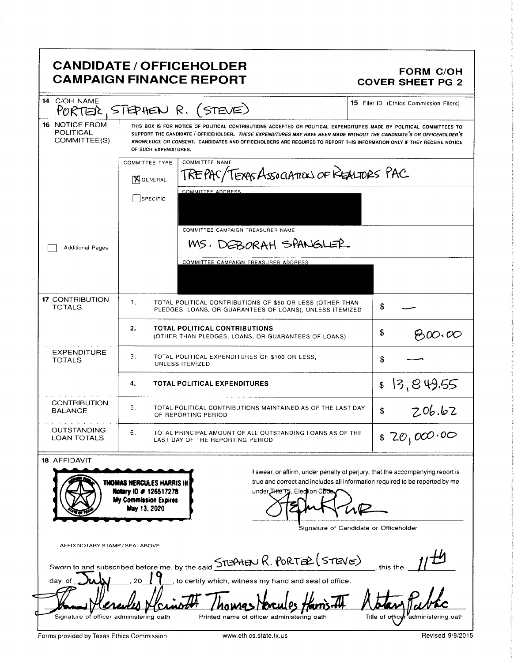# **CANDIDATE / OFFICEHOLDER CAMPAIGN FINANCE REPORT**

#### **FORM C/OH COVER SHEET PG 2**

| 14 C/OH NAME                                       |                                                                                                     | PORTER, STEPHEN R. (STEVE)                                                                                                                                                                                                                                                                                                                                              | <b>15</b> Filer ID (Ethics Commission Filers)                                                                                                                |
|----------------------------------------------------|-----------------------------------------------------------------------------------------------------|-------------------------------------------------------------------------------------------------------------------------------------------------------------------------------------------------------------------------------------------------------------------------------------------------------------------------------------------------------------------------|--------------------------------------------------------------------------------------------------------------------------------------------------------------|
| <b>16 NOTICE FROM</b><br>POLITICAL<br>COMMITTEE(S) | OF SUCH EXPENDITURES.                                                                               | THIS BOX IS FOR NOTICE OF POLITICAL CONTRIBUTIONS ACCEPTED OR POLITICAL EXPENDITURES MADE BY POLITICAL COMMITTEES TO<br>SUPPORT THE CANDIDATE / OFFICEHOLDER. THESE EXPENDITURES MAY HAVE BEEN MADE WITHOUT THE CANDIDATE'S OR OFFICEHOLDER'S<br>KNOWLEDGE OR CONSENT. CANDIDATES AND OFFICEHOLDERS ARE REQUIRED TO REPORT THIS INFORMATION ONLY IF THEY RECEIVE NOTICE |                                                                                                                                                              |
|                                                    | <b>COMMITTEE TYPE</b><br><b>X</b> GENERAL                                                           | <b>COMMITTEE NAME</b><br>TREPAC/TEXASASSOATION OF REALTORS PAC                                                                                                                                                                                                                                                                                                          |                                                                                                                                                              |
|                                                    | SPECIFIC                                                                                            | <b>COMMITTEE ADDRESS</b>                                                                                                                                                                                                                                                                                                                                                |                                                                                                                                                              |
| <b>Additional Pages</b>                            |                                                                                                     | COMMITTEE CAMPAIGN TREASURER NAME<br>MS, DEBORAH SPANGLER                                                                                                                                                                                                                                                                                                               |                                                                                                                                                              |
|                                                    |                                                                                                     | COMMITTEE CAMPAIGN TREASURER ADDRESS                                                                                                                                                                                                                                                                                                                                    |                                                                                                                                                              |
|                                                    |                                                                                                     |                                                                                                                                                                                                                                                                                                                                                                         |                                                                                                                                                              |
| <b>17 CONTRIBUTION</b><br><b>TOTALS</b>            | -1.                                                                                                 | TOTAL POLITICAL CONTRIBUTIONS OF \$50 OR LESS (OTHER THAN<br>PLEDGES, LOANS, OR GUARANTEES OF LOANS), UNLESS ITEMIZED                                                                                                                                                                                                                                                   | S                                                                                                                                                            |
|                                                    | 2.                                                                                                  | <b>TOTAL POLITICAL CONTRIBUTIONS</b><br>(OTHER THAN PLEDGES, LOANS, OR GUARANTEES OF LOANS)                                                                                                                                                                                                                                                                             | \$<br>8600.00                                                                                                                                                |
| <b>EXPENDITURE</b><br><b>TOTALS</b>                | 3.<br>TOTAL POLITICAL EXPENDITURES OF \$100 OR LESS,<br>UNLESS ITEMIZED                             |                                                                                                                                                                                                                                                                                                                                                                         | \$                                                                                                                                                           |
|                                                    | <b>TOTAL POLITICAL EXPENDITURES</b><br>4.                                                           |                                                                                                                                                                                                                                                                                                                                                                         | 13,849.55<br>\$                                                                                                                                              |
| <b>CONTRIBUTION</b><br><b>BALANCE</b>              | 5.<br>TOTAL POLITICAL CONTRIBUTIONS MAINTAINED AS OF THE LAST DAY<br>OF REPORTING PERIOD            |                                                                                                                                                                                                                                                                                                                                                                         | 206.62<br>\$                                                                                                                                                 |
| <b>OUTSTANDING</b><br><b>LOAN TOTALS</b>           | 6.                                                                                                  | TOTAL PRINCIPAL AMOUNT OF ALL OUTSTANDING LOANS AS OF THE<br>LAST DAY OF THE REPORTING PERIOD                                                                                                                                                                                                                                                                           | \$70,000.00                                                                                                                                                  |
| 18 AFFIDAVIT                                       |                                                                                                     |                                                                                                                                                                                                                                                                                                                                                                         |                                                                                                                                                              |
|                                                    | THOMAS HERCULES HARRIS III<br>Notary ID # 126517278<br><b>My Commission Expires</b><br>May 13, 2020 | under Litte 15, Election Chos                                                                                                                                                                                                                                                                                                                                           | I swear, or affirm, under penalty of perjury, that the accompanying report is<br>true and correct and includes all information required to be reported by me |
|                                                    |                                                                                                     |                                                                                                                                                                                                                                                                                                                                                                         | Signature of Candidate or Officeholder                                                                                                                       |
| AFFIX NOTARY STAMP / SEALABOVE                     |                                                                                                     |                                                                                                                                                                                                                                                                                                                                                                         |                                                                                                                                                              |
|                                                    |                                                                                                     | Sworn to and subscribed before me, by the said STEPHEN R. PORTER (STEVE)                                                                                                                                                                                                                                                                                                | this the                                                                                                                                                     |
| day of                                             | 20                                                                                                  | to certify which, witness my hand and seal of office.                                                                                                                                                                                                                                                                                                                   |                                                                                                                                                              |
|                                                    |                                                                                                     |                                                                                                                                                                                                                                                                                                                                                                         |                                                                                                                                                              |
| Signature of officer administering oath            |                                                                                                     | Printed name of officer administering oath                                                                                                                                                                                                                                                                                                                              | Title of officer administering oath                                                                                                                          |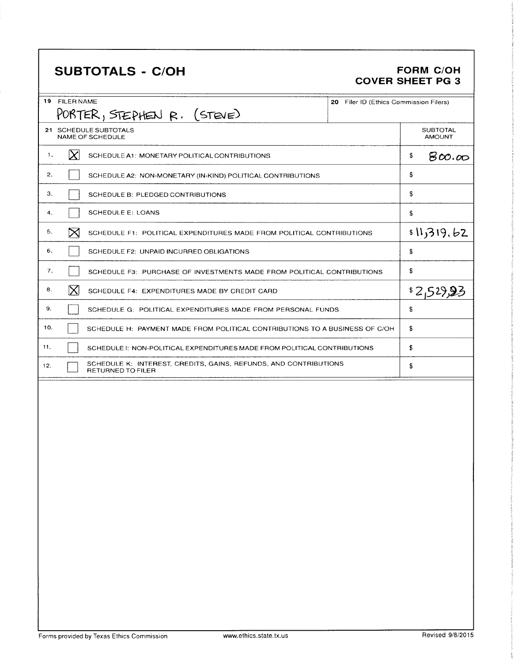# SUBTOTALS - C/OH FORM C/OH

# COVER SHEET PG 3

| 19<br><b>FILER NAME</b>                                                                             | 20 Filer ID (Ethics Commission Filers) |
|-----------------------------------------------------------------------------------------------------|----------------------------------------|
| PORTER, STEPHEN R. (STEVE)                                                                          |                                        |
| 21 SCHEDULE SUBTOTALS<br>NAME OF SCHEDULE                                                           | <b>SUBTOTAL</b><br><b>AMOUNT</b>       |
| $\vert\chi\vert$<br>1.<br>SCHEDULE A1: MONETARY POLITICAL CONTRIBUTIONS                             | \$<br>800.00                           |
| 2.<br>SCHEDULE A2: NON-MONETARY (IN-KIND) POLITICAL CONTRIBUTIONS                                   | \$                                     |
| З.<br>SCHEDULE B: PLEDGED CONTRIBUTIONS                                                             | \$                                     |
| <b>SCHEDULE E: LOANS</b><br>4.                                                                      | \$                                     |
| $\bowtie$<br>5.<br>SCHEDULE F1: POLITICAL EXPENDITURES MADE FROM POLITICAL CONTRIBUTIONS            | \$11,319.62                            |
| 6.<br>SCHEDULE F2: UNPAID INCURRED OBLIGATIONS                                                      | \$                                     |
| 7.<br>SCHEDULE F3: PURCHASE OF INVESTMENTS MADE FROM POLITICAL CONTRIBUTIONS                        | \$                                     |
| $\mathsf{X}$<br>8.<br>SCHEDULE F4: EXPENDITURES MADE BY CREDIT CARD                                 | \$2,52,95                              |
| 9.<br>SCHEDULE G: POLITICAL EXPENDITURES MADE FROM PERSONAL FUNDS                                   | \$                                     |
| 10.<br>SCHEDULE H: PAYMENT MADE FROM POLITICAL CONTRIBUTIONS TO A BUSINESS OF C/OH                  | \$                                     |
| 11.<br>SCHEDULE I: NON-POLITICAL EXPENDITURES MADE FROM POLITICAL CONTRIBUTIONS                     | \$                                     |
| SCHEDULE K: INTEREST, CREDITS, GAINS, REFUNDS, AND CONTRIBUTIONS<br>12.<br><b>RETURNED TO FILER</b> | \$                                     |
|                                                                                                     |                                        |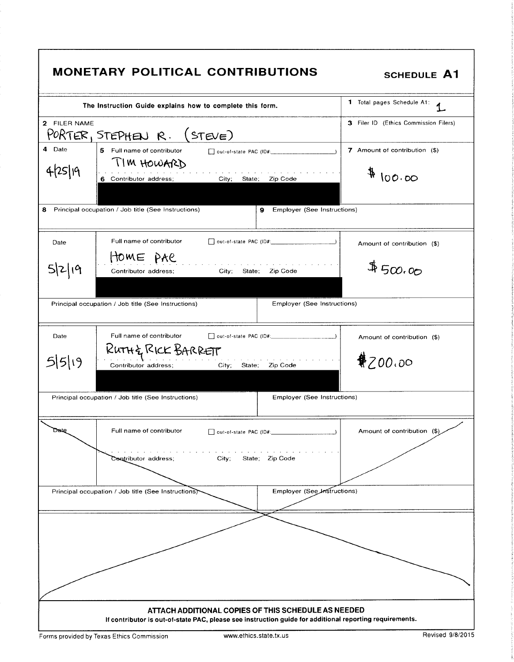|                   | <b>MONETARY POLITICAL CONTRIBUTIONS</b>                                                                                                                        | <b>SCHEDULE A1</b>                      |
|-------------------|----------------------------------------------------------------------------------------------------------------------------------------------------------------|-----------------------------------------|
|                   | The Instruction Guide explains how to complete this form.                                                                                                      | 1 Total pages Schedule A1:              |
| 2 FILER NAME      | PORTER, STEPHEN R.<br>(STEVE)                                                                                                                                  | 3 Filer ID (Ethics Commission Filers)   |
| 4 Date<br>4/25/19 | 5 Full name of contributor<br>TIM HOWARD<br>State; Zip Code<br>6 Contributor address;<br>City;                                                                 | 7 Amount of contribution (\$)<br>400.00 |
| 8                 | Principal occupation / Job title (See Instructions)<br>Employer (See Instructions)<br>9                                                                        |                                         |
| Date              | Full name of contributor                                                                                                                                       | Amount of contribution (\$)             |
| 5 2 19            | HOME PAC<br>City; State; Zip Code<br>Contributor address;                                                                                                      | 4500.00                                 |
|                   | <b>Employer (See Instructions)</b><br>Principal occupation / Job title (See Instructions)                                                                      |                                         |
| Date              | Full name of contributor                                                                                                                                       | Amount of contribution (\$)             |
| $5 5 $ 19         | RUTH& RICK BARRETT<br>State:<br>Zip Code<br>Contributor address;<br>City,                                                                                      | \$700.00                                |
|                   | <b>Employer (See Instructions)</b><br>Principal occupation / Job title (See Instructions)                                                                      |                                         |
| Date              | Full name of contributor<br>$\Box$ out-of-state PAC (ID#:                                                                                                      | Amount of contribution (\$)             |
|                   | Contributor address;<br>State; Zip Code<br>City;                                                                                                               |                                         |
|                   | Employer (See Instructions)<br>Principal occupation / Job title (See Instructions)                                                                             |                                         |
|                   |                                                                                                                                                                |                                         |
|                   |                                                                                                                                                                |                                         |
|                   | ATTACH ADDITIONAL COPIES OF THIS SCHEDULE AS NEEDED<br>If contributor is out-of-state PAC, please see instruction guide for additional reporting requirements. |                                         |
|                   | www.ethics.state.tx.us<br>Forms provided by Texas Ethics Commission                                                                                            | Revised 9/8/2015                        |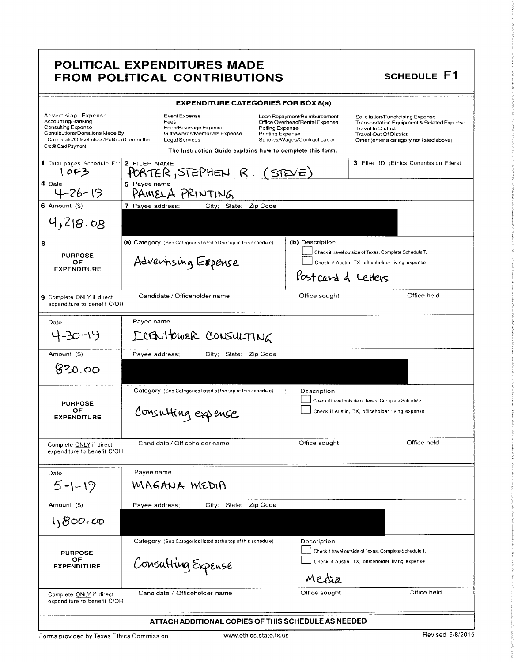### POLITICAL EXPENDITURES MADE FROM POLITICAL CONTRIBUTIONS SCHEDULE F1

| <b>EXPENDITURE CATEGORIES FOR BOX 8(a)</b>                                                                                                                                     |                                                                                                                                                                       |                                                                                                                                               |                                                                                                                                                                                           |
|--------------------------------------------------------------------------------------------------------------------------------------------------------------------------------|-----------------------------------------------------------------------------------------------------------------------------------------------------------------------|-----------------------------------------------------------------------------------------------------------------------------------------------|-------------------------------------------------------------------------------------------------------------------------------------------------------------------------------------------|
| Advertising Expense<br>Accounting/Banking<br><b>Consulting Expense</b><br>Contributions/Donations Made By<br>Candidate/Officeholder/Political Committee<br>Credit Card Payment | Event Expense<br>Fees<br>Food/Beverage Expense<br>Gift/Awards/Memorials Expense<br><b>Legal Services</b><br>The Instruction Guide explains how to complete this form. | Loan Repayment/Reimbursement<br>Office Overhead/Rental Expense<br>Polling Expense<br><b>Printing Expense</b><br>Salaries/Wages/Contract Labor | Solicitation/Fundraising Expense<br>Transportation Equipment & Related Expense<br><b>Travel In District</b><br><b>Travel Out Of District</b><br>Other (enter a category not listed above) |
| 1 Total pages Schedule F1: 2 FILER NAME<br>10F3                                                                                                                                | PORTER, STEPHEN $R.$ (STEVE)                                                                                                                                          |                                                                                                                                               | 3 Filer ID (Ethics Commission Filers)                                                                                                                                                     |
| 4 Date<br>4-26-19                                                                                                                                                              | 5 Payee name<br>PAMELA PRINTING                                                                                                                                       |                                                                                                                                               |                                                                                                                                                                                           |
| $6$ Amount $(3)$                                                                                                                                                               | 7 Payee address:<br>City; State; Zip Code                                                                                                                             |                                                                                                                                               |                                                                                                                                                                                           |
| 4,218.08                                                                                                                                                                       |                                                                                                                                                                       |                                                                                                                                               |                                                                                                                                                                                           |
| 8<br><b>PURPOSE</b><br>OF<br><b>EXPENDITURE</b>                                                                                                                                | (a) Category (See Categories listed at the top of this schedule)<br>Advertising Expense                                                                               | (b) Description<br>Post card & Letters                                                                                                        | Check if travel outside of Texas. Complete Schedule T.<br>Check if Austin, TX, officeholder living expense                                                                                |
| <b>9</b> Complete ONLY if direct<br>expenditure to benefit C/OH                                                                                                                | Candidate / Officeholder name                                                                                                                                         | Office sought                                                                                                                                 | Office held                                                                                                                                                                               |
| Date                                                                                                                                                                           | Payee name                                                                                                                                                            |                                                                                                                                               |                                                                                                                                                                                           |
| 4-30-19                                                                                                                                                                        | ICENHOWER CONSULTING                                                                                                                                                  |                                                                                                                                               |                                                                                                                                                                                           |
| Amount (\$)                                                                                                                                                                    | Payee address;<br>State; Zip Code<br>City;                                                                                                                            |                                                                                                                                               |                                                                                                                                                                                           |
| 830.00                                                                                                                                                                         |                                                                                                                                                                       |                                                                                                                                               |                                                                                                                                                                                           |
| <b>PURPOSE</b><br>OF<br><b>EXPENDITURE</b>                                                                                                                                     | Category (See Categories listed at the top of this schedule)<br>Consulting expense                                                                                    | Description                                                                                                                                   | Check if travel outside of Texas. Complete Schedule T.<br>Check if Austin, TX, officeholder living expense                                                                                |
| Complete ONLY if direct<br>expenditure to benefit C/OH                                                                                                                         | Candidate / Officeholder name                                                                                                                                         | Office sought                                                                                                                                 | Office held                                                                                                                                                                               |
| Date                                                                                                                                                                           | Payee name                                                                                                                                                            |                                                                                                                                               |                                                                                                                                                                                           |
| $5 - 1 - 19$                                                                                                                                                                   | MAGANA MEDIA                                                                                                                                                          |                                                                                                                                               |                                                                                                                                                                                           |
| Amount (\$)                                                                                                                                                                    | Payee address:<br>State;<br>City; :                                                                                                                                   | Zip Code                                                                                                                                      |                                                                                                                                                                                           |
| 1,800.00                                                                                                                                                                       |                                                                                                                                                                       |                                                                                                                                               |                                                                                                                                                                                           |
| <b>PURPOSE</b><br>ОF<br><b>EXPENDITURE</b>                                                                                                                                     | Category (See Categories listed at the top of this schedule)<br>Consulting Expense                                                                                    | Description<br>Media                                                                                                                          | Check if travel outside of Texas. Complete Schedule T.<br>Check if Austin, TX, officeholder living expense                                                                                |
| Complete ONLY if direct<br>expenditure to benefit C/OH                                                                                                                         | Candidate / Officeholder name                                                                                                                                         | Office sought                                                                                                                                 | Office held                                                                                                                                                                               |
| ATTACH ADDITIONAL COPIES OF THIS SCHEDULE AS NEEDED                                                                                                                            |                                                                                                                                                                       |                                                                                                                                               |                                                                                                                                                                                           |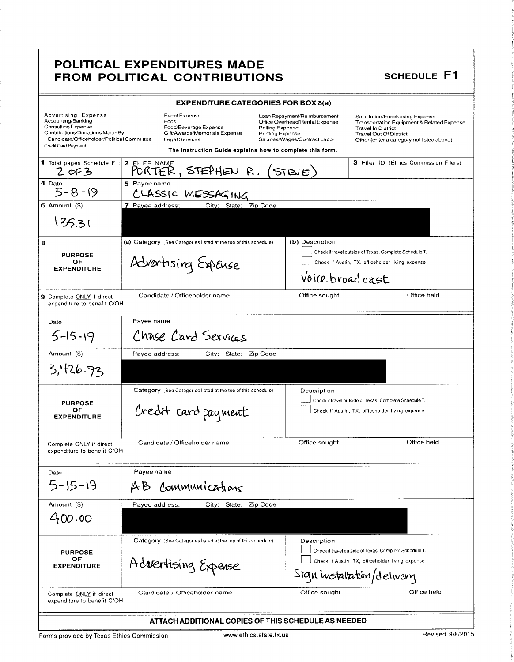### POLITICAL EXPENDITURES MADE FROM POLITICAL CONTRIBUTIONS SCHEDULE F1

|                                                                                                                                                                         | <b>EXPENDITURE CATEGORIES FOR BOX 8(a)</b>                                                                                                                                                                                                   |                                                                                                 |                                                                                                                                                                                           |
|-------------------------------------------------------------------------------------------------------------------------------------------------------------------------|----------------------------------------------------------------------------------------------------------------------------------------------------------------------------------------------------------------------------------------------|-------------------------------------------------------------------------------------------------|-------------------------------------------------------------------------------------------------------------------------------------------------------------------------------------------|
| Advertising Expense<br>Accounting/Banking<br>Consulting Expense<br>Contributions/Donations Made By<br>Candidate/Officeholder/Political Committee<br>Credit Card Payment | Event Expense<br>Fees<br>Food/Beverage Expense<br>Polling Expense<br>Gift/Awards/Memorials Expense<br><b>Printing Expense</b><br><b>Legal Services</b><br>The Instruction Guide explains how to complete this form.                          | Loan Repayment/Reimbursement<br>Office Overhead/Rental Expense<br>Salaries/Wages/Contract Labor | Solicitation/Fundraising Expense<br>Transportation Equipment & Related Expense<br><b>Travel In District</b><br><b>Travel Out Of District</b><br>Other (enter a category not listed above) |
|                                                                                                                                                                         | T Total pages Schedule F1: 2 FILER NAME<br>2 of 3 PORTER, STEPHEN R. (STEVE)                                                                                                                                                                 |                                                                                                 | 3 Filer ID (Ethics Commission Filers)                                                                                                                                                     |
| 4 Date<br>$5 - 8 - 19$                                                                                                                                                  | 5 Payee name<br>CLASSIC MESSAGING                                                                                                                                                                                                            |                                                                                                 |                                                                                                                                                                                           |
| $6$ Amount $($ )                                                                                                                                                        | 7 Payee address;<br>City: State: Zip Code                                                                                                                                                                                                    |                                                                                                 |                                                                                                                                                                                           |
| 135.31                                                                                                                                                                  |                                                                                                                                                                                                                                              |                                                                                                 |                                                                                                                                                                                           |
| 8<br><b>PURPOSE</b><br>OF<br><b>EXPENDITURE</b>                                                                                                                         | (b) Description<br>(a) Category (See Categories listed at the top of this schedule)<br>Check if travel outside of Texas. Complete Schedule T.<br>Advertising Expense<br>Check if Austin, TX. officeholder living expense<br>Voice broad cast |                                                                                                 |                                                                                                                                                                                           |
| 9 Complete ONLY if direct<br>expenditure to benefit C/OH                                                                                                                | Candidate / Officeholder name                                                                                                                                                                                                                | Office sought                                                                                   | Office held                                                                                                                                                                               |
| Date                                                                                                                                                                    | Payee name                                                                                                                                                                                                                                   |                                                                                                 |                                                                                                                                                                                           |
| $5 - 15 - 19$                                                                                                                                                           | Chase Card Services                                                                                                                                                                                                                          |                                                                                                 |                                                                                                                                                                                           |
| Amount (\$)                                                                                                                                                             | City; State; Zip Code<br>Payee address:                                                                                                                                                                                                      |                                                                                                 |                                                                                                                                                                                           |
| 3,426.93                                                                                                                                                                |                                                                                                                                                                                                                                              |                                                                                                 |                                                                                                                                                                                           |
| <b>PURPOSE</b><br>OF<br><b>EXPENDITURE</b>                                                                                                                              | Category (See Categories listed at the top of this schedule)<br>Credit card payment                                                                                                                                                          | Description                                                                                     | Check if travel outside of Texas. Complete Schedule T.<br>Check if Austin, TX, officeholder living expense                                                                                |
| Complete ONLY if direct<br>expenditure to benefit C/OH                                                                                                                  | Candidate / Officeholder name                                                                                                                                                                                                                | Office sought                                                                                   | Office held                                                                                                                                                                               |
| Date                                                                                                                                                                    | Payee name                                                                                                                                                                                                                                   |                                                                                                 |                                                                                                                                                                                           |
| $5 - 15 - 19$                                                                                                                                                           | AB Communications                                                                                                                                                                                                                            |                                                                                                 |                                                                                                                                                                                           |
| Amount (\$)                                                                                                                                                             | City: State;<br>Zip Code<br>Payee address;                                                                                                                                                                                                   |                                                                                                 |                                                                                                                                                                                           |
| 400.00                                                                                                                                                                  |                                                                                                                                                                                                                                              |                                                                                                 |                                                                                                                                                                                           |
| <b>PURPOSE</b>                                                                                                                                                          | Category (See Categories listed at the top of this schedule)                                                                                                                                                                                 | Description                                                                                     | Check if travel outside of Texas. Complete Schedule T.                                                                                                                                    |
| ОF<br><b>EXPENDITURE</b>                                                                                                                                                | Advertising Expense                                                                                                                                                                                                                          |                                                                                                 | Check if Austin, TX, officeholder living expense<br>$Singn$ installation/delivery                                                                                                         |
| Complete ONLY if direct<br>expenditure to benefit C/OH                                                                                                                  | Candidate / Officeholder name                                                                                                                                                                                                                | Office sought                                                                                   | Office held                                                                                                                                                                               |
|                                                                                                                                                                         | ATTACH ADDITIONAL COPIES OF THIS SCHEDULE AS NEEDED                                                                                                                                                                                          |                                                                                                 |                                                                                                                                                                                           |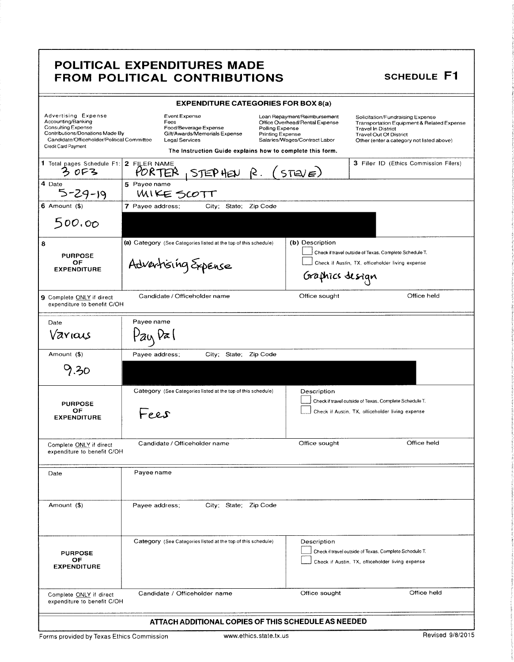#### POLITICAL EXPENDITURES MADE FROM POLITICAL CONTRIBUTIONS SCHEDULE F1

| <b>EXPENDITURE CATEGORIES FOR BOX 8(a)</b>                                                                                                                                     |                                                                                                                                                                       |                                                                                                                                               |                                                                                                                                                                                           |
|--------------------------------------------------------------------------------------------------------------------------------------------------------------------------------|-----------------------------------------------------------------------------------------------------------------------------------------------------------------------|-----------------------------------------------------------------------------------------------------------------------------------------------|-------------------------------------------------------------------------------------------------------------------------------------------------------------------------------------------|
| <b>Advertising Expense</b><br>Accounting/Banking<br>Consulting Expense<br>Contributions/Donations Made By<br>Candidate/Officeholder/Political Committee<br>Credit Card Payment | Event Expense<br>Fees<br>Food/Beverage Expense<br>Gift/Awards/Memorials Expense<br><b>Legal Services</b><br>The Instruction Guide explains how to complete this form. | Loan Repayment/Reimbursement<br>Office Overhead/Rental Expense<br>Polling Expense<br><b>Printing Expense</b><br>Salaries/Wages/Contract Labor | Solicitation/Fundraising Expense<br>Transportation Equipment & Related Expense<br><b>Travel In District</b><br><b>Travel Out Of District</b><br>Other (enter a category not listed above) |
| 1 Total pages Schedule F1: 2 FILER NAME<br>ろのう                                                                                                                                 | STEP HEN R. (STEVE)<br>PORTER                                                                                                                                         |                                                                                                                                               | 3 Filer ID (Ethics Commission Filers)                                                                                                                                                     |
| 4 Date<br>$5 - 29 - 19$                                                                                                                                                        | 5 Pavee name<br>WIKE SCOTT                                                                                                                                            |                                                                                                                                               |                                                                                                                                                                                           |
| $6$ Amount $(6)$                                                                                                                                                               | 7 Payee address:<br>City; State; Zip Code                                                                                                                             |                                                                                                                                               |                                                                                                                                                                                           |
| 500.00                                                                                                                                                                         |                                                                                                                                                                       |                                                                                                                                               |                                                                                                                                                                                           |
| 8<br><b>PURPOSE</b><br>OF<br><b>EXPENDITURE</b>                                                                                                                                | (a) Category (See Categories listed at the top of this schedule)<br>Advertising Expense                                                                               | (b) Description<br>Graphics design                                                                                                            | Check if travel outside of Texas. Complete Schedule T.<br>Check if Austin, TX, officeholder living expense                                                                                |
| 9 Complete ONLY if direct<br>expenditure to benefit C/OH                                                                                                                       | Candidate / Officeholder name                                                                                                                                         | Office sought                                                                                                                                 | Office held                                                                                                                                                                               |
| Date<br>Various                                                                                                                                                                | Payee name<br>tay va                                                                                                                                                  |                                                                                                                                               |                                                                                                                                                                                           |
| Amount (\$)                                                                                                                                                                    | Payee address;<br>City; State; Zip Code                                                                                                                               |                                                                                                                                               |                                                                                                                                                                                           |
| 9.30                                                                                                                                                                           |                                                                                                                                                                       |                                                                                                                                               |                                                                                                                                                                                           |
| <b>PURPOSE</b><br>ОF<br><b>EXPENDITURE</b>                                                                                                                                     | Category (See Categories listed at the top of this schedule)<br>Fees                                                                                                  | Description                                                                                                                                   | Check if travel outside of Texas. Complete Schedule T.<br>Check if Austin, TX, officeholder living expense                                                                                |
| Complete ONLY if direct<br>expenditure to benefit C/OH                                                                                                                         | Candidate / Officeholder name                                                                                                                                         | Office sought                                                                                                                                 | Office held                                                                                                                                                                               |
| Date                                                                                                                                                                           | Payee name                                                                                                                                                            |                                                                                                                                               |                                                                                                                                                                                           |
| Amount (\$)                                                                                                                                                                    | Payee address;<br>City: State: Zip Code                                                                                                                               |                                                                                                                                               |                                                                                                                                                                                           |
| <b>PURPOSE</b><br>ОF<br><b>EXPENDITURE</b>                                                                                                                                     | Category (See Categories listed at the top of this schedule)                                                                                                          | Description                                                                                                                                   | Check if travel outside of Texas. Complete Schedule T.<br>Check if Austin, TX, officeholder living expense                                                                                |
| Complete ONLY if direct<br>expenditure to benefit C/OH                                                                                                                         | Candidate / Officeholder name                                                                                                                                         | Office sought                                                                                                                                 | Office held                                                                                                                                                                               |
| ATTACH ADDITIONAL COPIES OF THIS SCHEDULE AS NEEDED                                                                                                                            |                                                                                                                                                                       |                                                                                                                                               |                                                                                                                                                                                           |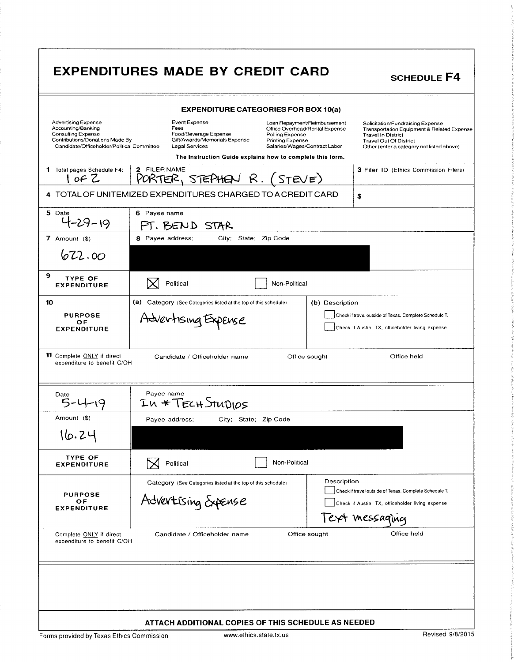|                                                                                                                                                                | <b>EXPENDITURES MADE BY CREDIT CARD</b>                                                                                                                                                                                                       |                                                                | <b>SCHEDULE F4</b>                                                                                                                                                                        |  |  |
|----------------------------------------------------------------------------------------------------------------------------------------------------------------|-----------------------------------------------------------------------------------------------------------------------------------------------------------------------------------------------------------------------------------------------|----------------------------------------------------------------|-------------------------------------------------------------------------------------------------------------------------------------------------------------------------------------------|--|--|
|                                                                                                                                                                | <b>EXPENDITURE CATEGORIES FOR BOX 10(a)</b>                                                                                                                                                                                                   |                                                                |                                                                                                                                                                                           |  |  |
| <b>Advertising Expense</b><br>Accounting/Banking<br><b>Consulting Expense</b><br>Contributions/Donations Made By<br>Candidate/Officeholder/Political Committee | Event Expense<br>Fees<br>Food/Beverage Expense<br>Polling Expense<br>Gift/Awards/Memorials Expense<br>Printing Expense<br><b>Legal Services</b><br>Salaries/Wages/Contract Labor<br>The Instruction Guide explains how to complete this form. | Loan Repayment/Reimbursement<br>Office Overhead/Rental Expense | Solicitation/Fundraising Expense<br>Transportation Equipment & Related Expense<br><b>Travel In District</b><br><b>Travel Out Of District</b><br>Other (enter a category not listed above) |  |  |
| <b>1</b> Total pages Schedule F4:                                                                                                                              | 2 FILER NAME                                                                                                                                                                                                                                  |                                                                | <b>3 Filer ID (Ethics Commission Filers)</b>                                                                                                                                              |  |  |
| 10FZ                                                                                                                                                           | PORTER, STEPHEN $R.$ (STEVE)                                                                                                                                                                                                                  |                                                                |                                                                                                                                                                                           |  |  |
|                                                                                                                                                                | 4 TOTAL OF UNITEMIZED EXPENDITURES CHARGED TO A CREDIT CARD                                                                                                                                                                                   |                                                                | \$                                                                                                                                                                                        |  |  |
| 5 Date<br>$4 - 29 - 19$                                                                                                                                        | 6 Payee name<br>PT. BEND STAR                                                                                                                                                                                                                 |                                                                |                                                                                                                                                                                           |  |  |
| 7 Amount $($)$                                                                                                                                                 | 8 Payee address;<br>City, State; Zip Code                                                                                                                                                                                                     |                                                                |                                                                                                                                                                                           |  |  |
| 622.00                                                                                                                                                         |                                                                                                                                                                                                                                               |                                                                |                                                                                                                                                                                           |  |  |
| 9<br><b>TYPE OF</b><br><b>EXPENDITURE</b>                                                                                                                      | Political<br>Non-Political                                                                                                                                                                                                                    |                                                                |                                                                                                                                                                                           |  |  |
| 10                                                                                                                                                             | (a) Category (See Categories listed at the top of this schedule)                                                                                                                                                                              | (b) Description                                                |                                                                                                                                                                                           |  |  |
| <b>PURPOSE</b><br>OF<br><b>EXPENDITURE</b>                                                                                                                     | Advertising Expense                                                                                                                                                                                                                           |                                                                | Check if travel outside of Texas, Complete Schedule T.<br>Check if Austin, TX, officeholder living expense                                                                                |  |  |
| <b>11</b> Complete ONLY if direct<br>expenditure to benefit C/OH                                                                                               | Candidate / Officeholder name                                                                                                                                                                                                                 | Office sought                                                  | Office held                                                                                                                                                                               |  |  |
| Date                                                                                                                                                           | Payee name<br>In * TECH STUDIOS                                                                                                                                                                                                               |                                                                |                                                                                                                                                                                           |  |  |
| Amount (\$)                                                                                                                                                    | City; State; Zip Code<br>Payee address;                                                                                                                                                                                                       |                                                                |                                                                                                                                                                                           |  |  |
| 16.24                                                                                                                                                          |                                                                                                                                                                                                                                               |                                                                |                                                                                                                                                                                           |  |  |
| <b>TYPE OF</b><br><b>EXPENDITURE</b>                                                                                                                           | Non-Political<br>Political                                                                                                                                                                                                                    |                                                                |                                                                                                                                                                                           |  |  |
| <b>PURPOSE</b><br>ОF<br><b>EXPENDITURE</b>                                                                                                                     | Category (See Categories listed at the top of this schedule)<br>Advertising Expense                                                                                                                                                           | Description                                                    | Check if travel outside of Texas. Complete Schedule T.<br>Check if Austin, TX, officeholder living expense<br>Text messaging                                                              |  |  |
| Complete ONLY if direct<br>expenditure to benefit C/OH                                                                                                         | Candidate / Officeholder name                                                                                                                                                                                                                 | Office sought                                                  | Office held                                                                                                                                                                               |  |  |
|                                                                                                                                                                |                                                                                                                                                                                                                                               |                                                                |                                                                                                                                                                                           |  |  |
|                                                                                                                                                                | ATTACH ADDITIONAL COPIES OF THIS SCHEDULE AS NEEDED                                                                                                                                                                                           |                                                                |                                                                                                                                                                                           |  |  |
| Forms provided by Texas Ethics Commission                                                                                                                      | www.ethics.state.tx.us                                                                                                                                                                                                                        |                                                                | Revised 9/8/2015                                                                                                                                                                          |  |  |

 $\mathbf{r}$